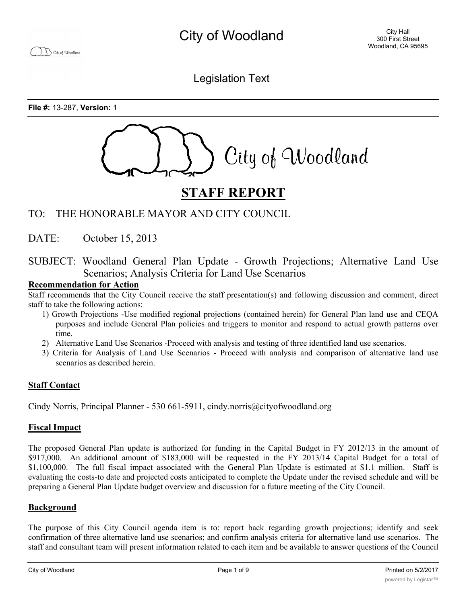Legislation Text

**File #:** 13-287, **Version:** 1



# **STAFF REPORT**

## TO: THE HONORABLE MAYOR AND CITY COUNCIL

DATE: October 15, 2013

SUBJECT: Woodland General Plan Update - Growth Projections; Alternative Land Use Scenarios; Analysis Criteria for Land Use Scenarios

#### **Recommendation for Action**

Staff recommends that the City Council receive the staff presentation(s) and following discussion and comment, direct staff to take the following actions:

- 1) Growth Projections -Use modified regional projections (contained herein) for General Plan land use and CEQA purposes and include General Plan policies and triggers to monitor and respond to actual growth patterns over time.
- 2) Alternative Land Use Scenarios -Proceed with analysis and testing of three identified land use scenarios.
- 3) Criteria for Analysis of Land Use Scenarios Proceed with analysis and comparison of alternative land use scenarios as described herein.

## **Staff Contact**

Cindy Norris, Principal Planner - 530 661-5911, cindy.norris@cityofwoodland.org

## **Fiscal Impact**

The proposed General Plan update is authorized for funding in the Capital Budget in FY 2012/13 in the amount of \$917,000. An additional amount of \$183,000 will be requested in the FY 2013/14 Capital Budget for a total of \$1,100,000. The full fiscal impact associated with the General Plan Update is estimated at \$1.1 million. Staff is evaluating the costs-to date and projected costs anticipated to complete the Update under the revised schedule and will be preparing a General Plan Update budget overview and discussion for a future meeting of the City Council.

## **Background**

The purpose of this City Council agenda item is to: report back regarding growth projections; identify and seek confirmation of three alternative land use scenarios; and confirm analysis criteria for alternative land use scenarios. The staff and consultant team will present information related to each item and be available to answer questions of the Council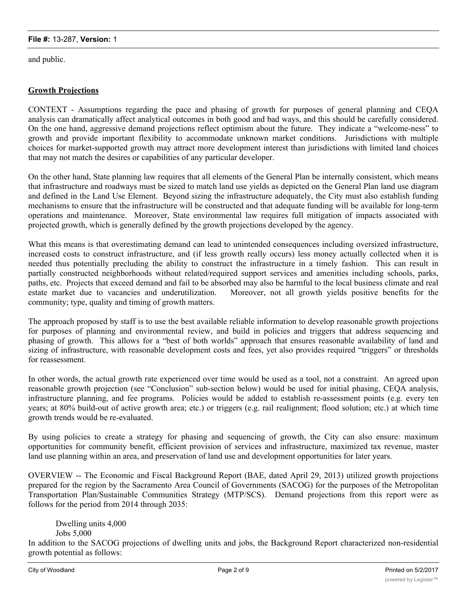and public.

### **Growth Projections**

CONTEXT - Assumptions regarding the pace and phasing of growth for purposes of general planning and CEQA analysis can dramatically affect analytical outcomes in both good and bad ways, and this should be carefully considered. On the one hand, aggressive demand projections reflect optimism about the future. They indicate a "welcome-ness" to growth and provide important flexibility to accommodate unknown market conditions. Jurisdictions with multiple choices for market-supported growth may attract more development interest than jurisdictions with limited land choices that may not match the desires or capabilities of any particular developer.

On the other hand, State planning law requires that all elements of the General Plan be internally consistent, which means that infrastructure and roadways must be sized to match land use yields as depicted on the General Plan land use diagram and defined in the Land Use Element. Beyond sizing the infrastructure adequately, the City must also establish funding mechanisms to ensure that the infrastructure will be constructed and that adequate funding will be available for long-term operations and maintenance. Moreover, State environmental law requires full mitigation of impacts associated with projected growth, which is generally defined by the growth projections developed by the agency.

What this means is that overestimating demand can lead to unintended consequences including oversized infrastructure, increased costs to construct infrastructure, and (if less growth really occurs) less money actually collected when it is needed thus potentially precluding the ability to construct the infrastructure in a timely fashion. This can result in partially constructed neighborhoods without related/required support services and amenities including schools, parks, paths, etc. Projects that exceed demand and fail to be absorbed may also be harmful to the local business climate and real estate market due to vacancies and underutilization. Moreover, not all growth yields positive benefits for the community; type, quality and timing of growth matters.

The approach proposed by staff is to use the best available reliable information to develop reasonable growth projections for purposes of planning and environmental review, and build in policies and triggers that address sequencing and phasing of growth. This allows for a "best of both worlds" approach that ensures reasonable availability of land and sizing of infrastructure, with reasonable development costs and fees, yet also provides required "triggers" or thresholds for reassessment.

In other words, the actual growth rate experienced over time would be used as a tool, not a constraint. An agreed upon reasonable growth projection (see "Conclusion" sub-section below) would be used for initial phasing, CEQA analysis, infrastructure planning, and fee programs. Policies would be added to establish re-assessment points (e.g. every ten years; at 80% build-out of active growth area; etc.) or triggers (e.g. rail realignment; flood solution; etc.) at which time growth trends would be re-evaluated.

By using policies to create a strategy for phasing and sequencing of growth, the City can also ensure: maximum opportunities for community benefit, efficient provision of services and infrastructure, maximized tax revenue, master land use planning within an area, and preservation of land use and development opportunities for later years.

OVERVIEW -- The Economic and Fiscal Background Report (BAE, dated April 29, 2013) utilized growth projections prepared for the region by the Sacramento Area Council of Governments (SACOG) for the purposes of the Metropolitan Transportation Plan/Sustainable Communities Strategy (MTP/SCS). Demand projections from this report were as follows for the period from 2014 through 2035:

Dwelling units 4,000 Jobs 5,000 In addition to the SACOG projections of dwelling units and jobs, the Background Report characterized non-residential growth potential as follows: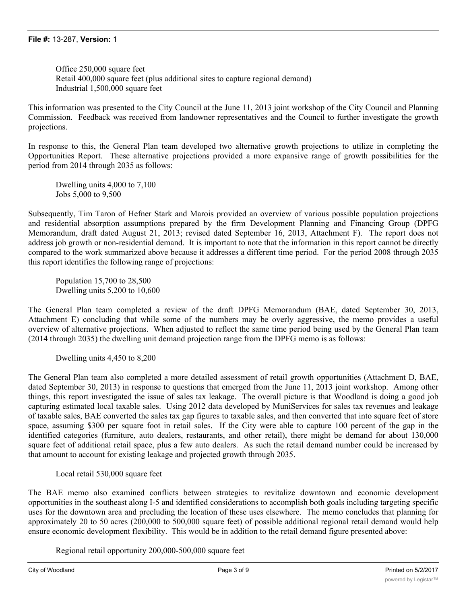Office 250,000 square feet Retail 400,000 square feet (plus additional sites to capture regional demand) Industrial 1,500,000 square feet

This information was presented to the City Council at the June 11, 2013 joint workshop of the City Council and Planning Commission. Feedback was received from landowner representatives and the Council to further investigate the growth projections.

In response to this, the General Plan team developed two alternative growth projections to utilize in completing the Opportunities Report. These alternative projections provided a more expansive range of growth possibilities for the period from 2014 through 2035 as follows:

Dwelling units 4,000 to 7,100 Jobs 5,000 to 9,500

Subsequently, Tim Taron of Hefner Stark and Marois provided an overview of various possible population projections and residential absorption assumptions prepared by the firm Development Planning and Financing Group (DPFG Memorandum, draft dated August 21, 2013; revised dated September 16, 2013, Attachment F). The report does not address job growth or non-residential demand. It is important to note that the information in this report cannot be directly compared to the work summarized above because it addresses a different time period. For the period 2008 through 2035 this report identifies the following range of projections:

Population 15,700 to 28,500 Dwelling units 5,200 to 10,600

The General Plan team completed a review of the draft DPFG Memorandum (BAE, dated September 30, 2013, Attachment E) concluding that while some of the numbers may be overly aggressive, the memo provides a useful overview of alternative projections. When adjusted to reflect the same time period being used by the General Plan team (2014 through 2035) the dwelling unit demand projection range from the DPFG memo is as follows:

Dwelling units 4,450 to 8,200

The General Plan team also completed a more detailed assessment of retail growth opportunities (Attachment D, BAE, dated September 30, 2013) in response to questions that emerged from the June 11, 2013 joint workshop. Among other things, this report investigated the issue of sales tax leakage. The overall picture is that Woodland is doing a good job capturing estimated local taxable sales. Using 2012 data developed by MuniServices for sales tax revenues and leakage of taxable sales, BAE converted the sales tax gap figures to taxable sales, and then converted that into square feet of store space, assuming \$300 per square foot in retail sales. If the City were able to capture 100 percent of the gap in the identified categories (furniture, auto dealers, restaurants, and other retail), there might be demand for about 130,000 square feet of additional retail space, plus a few auto dealers. As such the retail demand number could be increased by that amount to account for existing leakage and projected growth through 2035.

Local retail 530,000 square feet

The BAE memo also examined conflicts between strategies to revitalize downtown and economic development opportunities in the southeast along I-5 and identified considerations to accomplish both goals including targeting specific uses for the downtown area and precluding the location of these uses elsewhere. The memo concludes that planning for approximately 20 to 50 acres (200,000 to 500,000 square feet) of possible additional regional retail demand would help ensure economic development flexibility. This would be in addition to the retail demand figure presented above:

Regional retail opportunity 200,000-500,000 square feet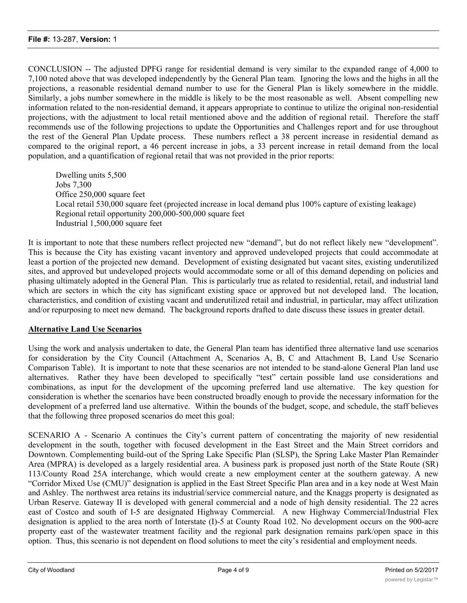CONCLUSION -- The adjusted DPFG range for residential demand is very similar to the expanded range of 4,000 to 7,100 noted above that was developed independently by the General Plan team. Ignoring the lows and the highs in all the projections, a reasonable residential demand number to use for the General Plan is likely somewhere in the middle. Similarly, a jobs number somewhere in the middle is likely to be the most reasonable as well. Absent compelling new information related to the non-residential demand, it appears appropriate to continue to utilize the original non-residential projections, with the adjustment to local retail mentioned above and the addition of regional retail. Therefore the staff recommends use of the following projections to update the Opportunities and Challenges report and for use throughout the rest of the General Plan Update process. These numbers reflect a 38 percent increase in residential demand as compared to the original report, a 46 percent increase in jobs, a 33 percent increase in retail demand from the local population, and a quantification of regional retail that was not provided in the prior reports:

Dwelling units 5,500 Jobs 7,300 Office 250,000 square feet Local retail 530,000 square feet (projected increase in local demand plus 100% capture of existing leakage) Regional retail opportunity 200,000-500,000 square feet Industrial 1,500,000 square feet

It is important to note that these numbers reflect projected new "demand", but do not reflect likely new "development". This is because the City has existing vacant inventory and approved undeveloped projects that could accommodate at least a portion of the projected new demand. Development of existing designated but vacant sites, existing underutilized sites, and approved but undeveloped projects would accommodate some or all of this demand depending on policies and phasing ultimately adopted in the General Plan. This is particularly true as related to residential, retail, and industrial land which are sectors in which the city has significant existing space or approved but not developed land. The location, characteristics, and condition of existing vacant and underutilized retail and industrial, in particular, may affect utilization and/or repurposing to meet new demand. The background reports drafted to date discuss these issues in greater detail.

## **Alternative Land Use Scenarios**

Using the work and analysis undertaken to date, the General Plan team has identified three alternative land use scenarios for consideration by the City Council (Attachment A, Scenarios A, B, C and Attachment B, Land Use Scenario Comparison Table). It is important to note that these scenarios are not intended to be stand-alone General Plan land use alternatives. Rather they have been developed to specifically "test" certain possible land use considerations and combinations, as input for the development of the upcoming preferred land use alternative. The key question for consideration is whether the scenarios have been constructed broadly enough to provide the necessary information for the development of a preferred land use alternative. Within the bounds of the budget, scope, and schedule, the staff believes that the following three proposed scenarios do meet this goal:

SCENARIO A - Scenario A continues the City's current pattern of concentrating the majority of new residential development in the south, together with focused development in the East Street and the Main Street corridors and Downtown. Complementing build-out of the Spring Lake Specific Plan (SLSP), the Spring Lake Master Plan Remainder Area (MPRA) is developed as a largely residential area. A business park is proposed just north of the State Route (SR) 113/County Road 25A interchange, which would create a new employment center at the southern gateway. A new "Corridor Mixed Use (CMU)" designation is applied in the East Street Specific Plan area and in a key node at West Main and Ashley. The northwest area retains its industrial/service commercial nature, and the Knaggs property is designated as Urban Reserve. Gateway II is developed with general commercial and a node of high density residential. The 22 acres east of Costco and south of I-5 are designated Highway Commercial. A new Highway Commercial/Industrial Flex designation is applied to the area north of Interstate (I)-5 at County Road 102. No development occurs on the 900-acre property east of the wastewater treatment facility and the regional park designation remains park/open space in this option. Thus, this scenario is not dependent on flood solutions to meet the city's residential and employment needs.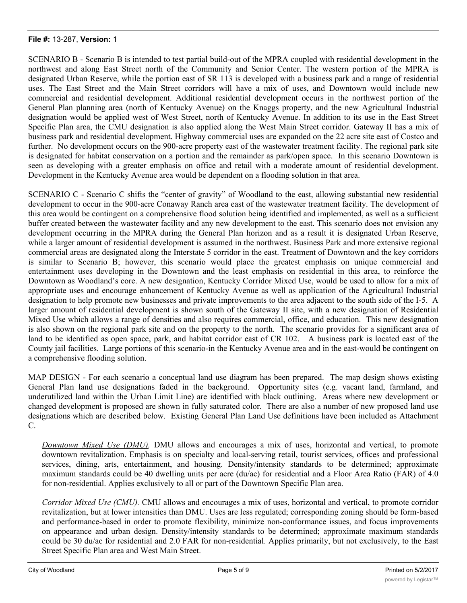SCENARIO B - Scenario B is intended to test partial build-out of the MPRA coupled with residential development in the northwest and along East Street north of the Community and Senior Center. The western portion of the MPRA is designated Urban Reserve, while the portion east of SR 113 is developed with a business park and a range of residential uses. The East Street and the Main Street corridors will have a mix of uses, and Downtown would include new commercial and residential development. Additional residential development occurs in the northwest portion of the General Plan planning area (north of Kentucky Avenue) on the Knaggs property, and the new Agricultural Industrial designation would be applied west of West Street, north of Kentucky Avenue. In addition to its use in the East Street Specific Plan area, the CMU designation is also applied along the West Main Street corridor. Gateway II has a mix of business park and residential development. Highway commercial uses are expanded on the 22 acre site east of Costco and further. No development occurs on the 900-acre property east of the wastewater treatment facility. The regional park site is designated for habitat conservation on a portion and the remainder as park/open space. In this scenario Downtown is seen as developing with a greater emphasis on office and retail with a moderate amount of residential development. Development in the Kentucky Avenue area would be dependent on a flooding solution in that area.

SCENARIO C - Scenario C shifts the "center of gravity" of Woodland to the east, allowing substantial new residential development to occur in the 900-acre Conaway Ranch area east of the wastewater treatment facility. The development of this area would be contingent on a comprehensive flood solution being identified and implemented, as well as a sufficient buffer created between the wastewater facility and any new development to the east. This scenario does not envision any development occurring in the MPRA during the General Plan horizon and as a result it is designated Urban Reserve, while a larger amount of residential development is assumed in the northwest. Business Park and more extensive regional commercial areas are designated along the Interstate 5 corridor in the east. Treatment of Downtown and the key corridors is similar to Scenario B; however, this scenario would place the greatest emphasis on unique commercial and entertainment uses developing in the Downtown and the least emphasis on residential in this area, to reinforce the Downtown as Woodland's core. A new designation, Kentucky Corridor Mixed Use, would be used to allow for a mix of appropriate uses and encourage enhancement of Kentucky Avenue as well as application of the Agricultural Industrial designation to help promote new businesses and private improvements to the area adjacent to the south side of the I-5. A larger amount of residential development is shown south of the Gateway II site, with a new designation of Residential Mixed Use which allows a range of densities and also requires commercial, office, and education. This new designation is also shown on the regional park site and on the property to the north. The scenario provides for a significant area of land to be identified as open space, park, and habitat corridor east of CR 102. A business park is located east of the County jail facilities. Large portions of this scenario-in the Kentucky Avenue area and in the east-would be contingent on a comprehensive flooding solution.

MAP DESIGN - For each scenario a conceptual land use diagram has been prepared. The map design shows existing General Plan land use designations faded in the background. Opportunity sites (e.g. vacant land, farmland, and underutilized land within the Urban Limit Line) are identified with black outlining. Areas where new development or changed development is proposed are shown in fully saturated color. There are also a number of new proposed land use designations which are described below. Existing General Plan Land Use definitions have been included as Attachment C.

*Downtown Mixed Use (DMU).* DMU allows and encourages a mix of uses, horizontal and vertical, to promote downtown revitalization. Emphasis is on specialty and local-serving retail, tourist services, offices and professional services, dining, arts, entertainment, and housing. Density/intensity standards to be determined; approximate maximum standards could be 40 dwelling units per acre (du/ac) for residential and a Floor Area Ratio (FAR) of 4.0 for non-residential. Applies exclusively to all or part of the Downtown Specific Plan area.

*Corridor Mixed Use (CMU).* CMU allows and encourages a mix of uses, horizontal and vertical, to promote corridor revitalization, but at lower intensities than DMU. Uses are less regulated; corresponding zoning should be form-based and performance-based in order to promote flexibility, minimize non-conformance issues, and focus improvements on appearance and urban design. Density/intensity standards to be determined; approximate maximum standards could be 30 du/ac for residential and 2.0 FAR for non-residential. Applies primarily, but not exclusively, to the East Street Specific Plan area and West Main Street.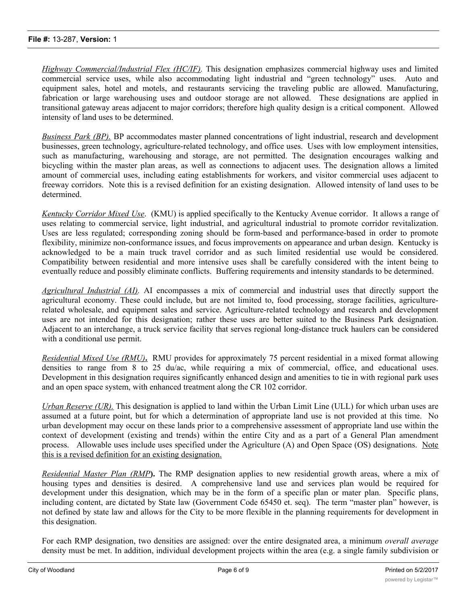*Highway Commercial/Industrial Flex (HC/IF).* This designation emphasizes commercial highway uses and limited commercial service uses, while also accommodating light industrial and "green technology" uses. Auto and equipment sales, hotel and motels, and restaurants servicing the traveling public are allowed. Manufacturing, fabrication or large warehousing uses and outdoor storage are not allowed. These designations are applied in transitional gateway areas adjacent to major corridors; therefore high quality design is a critical component. Allowed intensity of land uses to be determined.

*Business Park (BP).* BP accommodates master planned concentrations of light industrial, research and development businesses, green technology, agriculture-related technology, and office uses. Uses with low employment intensities, such as manufacturing, warehousing and storage, are not permitted. The designation encourages walking and bicycling within the master plan areas, as well as connections to adjacent uses. The designation allows a limited amount of commercial uses, including eating establishments for workers, and visitor commercial uses adjacent to freeway corridors. Note this is a revised definition for an existing designation. Allowed intensity of land uses to be determined.

*Kentucky Corridor Mixed Use*. (KMU) is applied specifically to the Kentucky Avenue corridor. It allows a range of uses relating to commercial service, light industrial, and agricultural industrial to promote corridor revitalization. Uses are less regulated; corresponding zoning should be form-based and performance-based in order to promote flexibility, minimize non-conformance issues, and focus improvements on appearance and urban design. Kentucky is acknowledged to be a main truck travel corridor and as such limited residential use would be considered. Compatibility between residential and more intensive uses shall be carefully considered with the intent being to eventually reduce and possibly eliminate conflicts. Buffering requirements and intensity standards to be determined.

*Agricultural Industrial (AI).* AI encompasses a mix of commercial and industrial uses that directly support the agricultural economy. These could include, but are not limited to, food processing, storage facilities, agriculturerelated wholesale, and equipment sales and service. Agriculture-related technology and research and development uses are not intended for this designation; rather these uses are better suited to the Business Park designation. Adjacent to an interchange, a truck service facility that serves regional long-distance truck haulers can be considered with a conditional use permit.

*Residential Mixed Use (RMU)***.** RMU provides for approximately 75 percent residential in a mixed format allowing densities to range from 8 to 25 du/ac, while requiring a mix of commercial, office, and educational uses. Development in this designation requires significantly enhanced design and amenities to tie in with regional park uses and an open space system, with enhanced treatment along the CR 102 corridor.

*Urban Reserve (UR).* This designation is applied to land within the Urban Limit Line (ULL) for which urban uses are assumed at a future point, but for which a determination of appropriate land use is not provided at this time. No urban development may occur on these lands prior to a comprehensive assessment of appropriate land use within the context of development (existing and trends) within the entire City and as a part of a General Plan amendment process. Allowable uses include uses specified under the Agriculture (A) and Open Space (OS) designations. Note this is a revised definition for an existing designation.

*Residential Master Plan (RMP***).** The RMP designation applies to new residential growth areas, where a mix of housing types and densities is desired. A comprehensive land use and services plan would be required for development under this designation, which may be in the form of a specific plan or mater plan. Specific plans, including content, are dictated by State law (Government Code 65450 et. seq). The term "master plan" however, is not defined by state law and allows for the City to be more flexible in the planning requirements for development in this designation.

For each RMP designation, two densities are assigned: over the entire designated area, a minimum *overall average* density must be met. In addition, individual development projects within the area (e.g. a single family subdivision or an apartment complex) must meet or exceed a minimum *project* density. This will allow a developer to vary the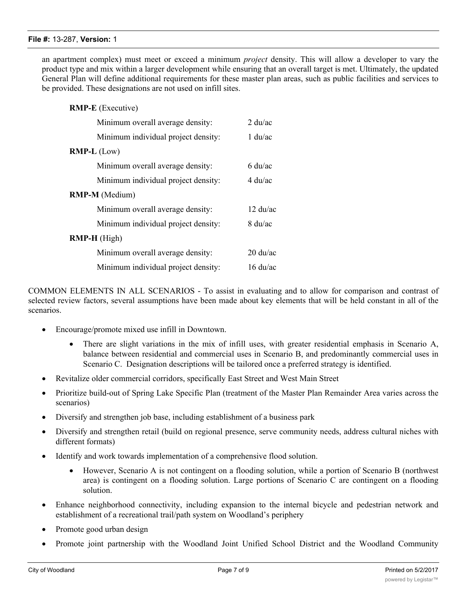*RMP-E* (Executive)

an apartment complex) must meet or exceed a minimum *project* density. This will allow a developer to vary the product type and mix within a larger development while ensuring that an overall target is met. Ultimately, the updated General Plan will define additional requirements for these master plan areas, such as public facilities and services to be provided. These designations are not used on infill sites.

| <b>INIVEL - E</b> (EACCHIVE)        |                                     |
|-------------------------------------|-------------------------------------|
| Minimum overall average density:    | $2 \frac{\mathrm{du}}{\mathrm{ac}}$ |
| Minimum individual project density: | $1 \text{ du/ac}$                   |
| $RMP-L$ (Low)                       |                                     |
| Minimum overall average density:    | 6 du/ac                             |
| Minimum individual project density: | $4 \mathrm{du}/\mathrm{ac}$         |
| <b>RMP-M</b> (Medium)               |                                     |
| Minimum overall average density:    | $12 \text{ du/ac}$                  |
| Minimum individual project density: | $8 \text{ du/ac}$                   |
| <b>RMP-H</b> (High)                 |                                     |
| Minimum overall average density:    | $20 \frac{\text{du}}{\text{ac}}$    |
| Minimum individual project density: | $16 \text{ du/ac}$                  |

COMMON ELEMENTS IN ALL SCENARIOS - To assist in evaluating and to allow for comparison and contrast of selected review factors, several assumptions have been made about key elements that will be held constant in all of the scenarios.

- Encourage/promote mixed use infill in Downtown.
	- · There are slight variations in the mix of infill uses, with greater residential emphasis in Scenario A, balance between residential and commercial uses in Scenario B, and predominantly commercial uses in Scenario C. Designation descriptions will be tailored once a preferred strategy is identified.
- Revitalize older commercial corridors, specifically East Street and West Main Street
- · Prioritize build-out of Spring Lake Specific Plan (treatment of the Master Plan Remainder Area varies across the scenarios)
- Diversify and strengthen job base, including establishment of a business park
- Diversify and strengthen retail (build on regional presence, serve community needs, address cultural niches with different formats)
- Identify and work towards implementation of a comprehensive flood solution.
	- · However, Scenario A is not contingent on a flooding solution, while a portion of Scenario B (northwest area) is contingent on a flooding solution. Large portions of Scenario C are contingent on a flooding solution.
- Enhance neighborhood connectivity, including expansion to the internal bicycle and pedestrian network and establishment of a recreational trail/path system on Woodland's periphery
- Promote good urban design
- Promote joint partnership with the Woodland Joint Unified School District and the Woodland Community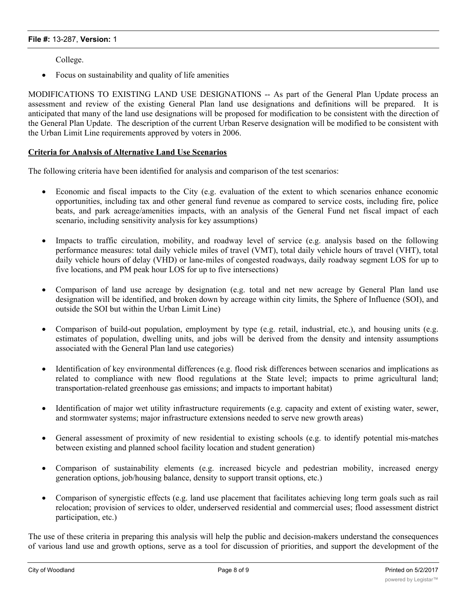College.

Focus on sustainability and quality of life amenities

MODIFICATIONS TO EXISTING LAND USE DESIGNATIONS -- As part of the General Plan Update process an assessment and review of the existing General Plan land use designations and definitions will be prepared. It is anticipated that many of the land use designations will be proposed for modification to be consistent with the direction of the General Plan Update. The description of the current Urban Reserve designation will be modified to be consistent with the Urban Limit Line requirements approved by voters in 2006.

#### **Criteria for Analysis of Alternative Land Use Scenarios**

The following criteria have been identified for analysis and comparison of the test scenarios:

- Economic and fiscal impacts to the City (e.g. evaluation of the extent to which scenarios enhance economic opportunities, including tax and other general fund revenue as compared to service costs, including fire, police beats, and park acreage/amenities impacts, with an analysis of the General Fund net fiscal impact of each scenario, including sensitivity analysis for key assumptions)
- Impacts to traffic circulation, mobility, and roadway level of service (e.g. analysis based on the following performance measures: total daily vehicle miles of travel (VMT), total daily vehicle hours of travel (VHT), total daily vehicle hours of delay (VHD) or lane-miles of congested roadways, daily roadway segment LOS for up to five locations, and PM peak hour LOS for up to five intersections)
- · Comparison of land use acreage by designation (e.g. total and net new acreage by General Plan land use designation will be identified, and broken down by acreage within city limits, the Sphere of Influence (SOI), and outside the SOI but within the Urban Limit Line)
- Comparison of build-out population, employment by type (e.g. retail, industrial, etc.), and housing units (e.g. estimates of population, dwelling units, and jobs will be derived from the density and intensity assumptions associated with the General Plan land use categories)
- · Identification of key environmental differences (e.g. flood risk differences between scenarios and implications as related to compliance with new flood regulations at the State level; impacts to prime agricultural land; transportation-related greenhouse gas emissions; and impacts to important habitat)
- · Identification of major wet utility infrastructure requirements (e.g. capacity and extent of existing water, sewer, and stormwater systems; major infrastructure extensions needed to serve new growth areas)
- General assessment of proximity of new residential to existing schools (e.g. to identify potential mis-matches between existing and planned school facility location and student generation)
- · Comparison of sustainability elements (e.g. increased bicycle and pedestrian mobility, increased energy generation options, job/housing balance, density to support transit options, etc.)
- · Comparison of synergistic effects (e.g. land use placement that facilitates achieving long term goals such as rail relocation; provision of services to older, underserved residential and commercial uses; flood assessment district participation, etc.)

The use of these criteria in preparing this analysis will help the public and decision-makers understand the consequences of various land use and growth options, serve as a tool for discussion of priorities, and support the development of the